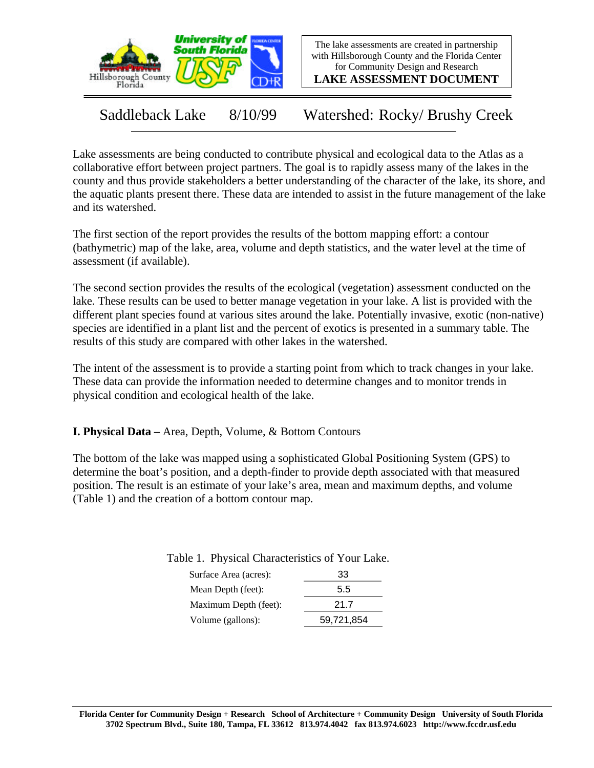

The lake assessments are created in partnership with Hillsborough County and the Florida Center for Community Design and Research

**LAKE ASSESSMENT DOCUMENT**

Saddleback Lake 8/10/99 Watershed: Rocky/ Brushy Creek

Lake assessments are being conducted to contribute physical and ecological data to the Atlas as a collaborative effort between project partners. The goal is to rapidly assess many of the lakes in the county and thus provide stakeholders a better understanding of the character of the lake, its shore, and the aquatic plants present there. These data are intended to assist in the future management of the lake and its watershed.

The first section of the report provides the results of the bottom mapping effort: a contour (bathymetric) map of the lake, area, volume and depth statistics, and the water level at the time of assessment (if available).

The second section provides the results of the ecological (vegetation) assessment conducted on the lake. These results can be used to better manage vegetation in your lake. A list is provided with the different plant species found at various sites around the lake. Potentially invasive, exotic (non-native) species are identified in a plant list and the percent of exotics is presented in a summary table. The results of this study are compared with other lakes in the watershed.

The intent of the assessment is to provide a starting point from which to track changes in your lake. These data can provide the information needed to determine changes and to monitor trends in physical condition and ecological health of the lake.

**I. Physical Data –** Area, Depth, Volume, & Bottom Contours

The bottom of the lake was mapped using a sophisticated Global Positioning System (GPS) to determine the boat's position, and a depth-finder to provide depth associated with that measured position. The result is an estimate of your lake's area, mean and maximum depths, and volume (Table 1) and the creation of a bottom contour map.

| Surface Area (acres): | 33         |  |  |
|-----------------------|------------|--|--|
| Mean Depth (feet):    | 5.5        |  |  |
| Maximum Depth (feet): | 21.7       |  |  |
| Volume (gallons):     | 59,721,854 |  |  |

Table 1. Physical Characteristics of Your Lake.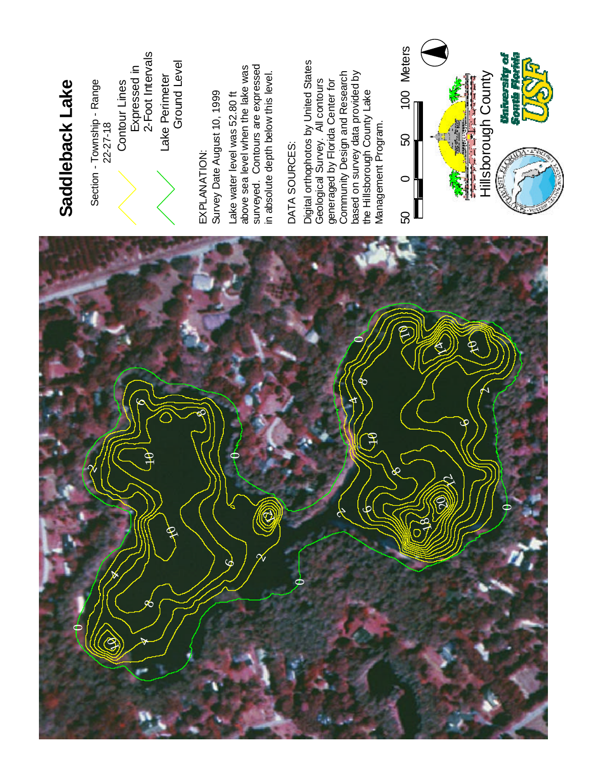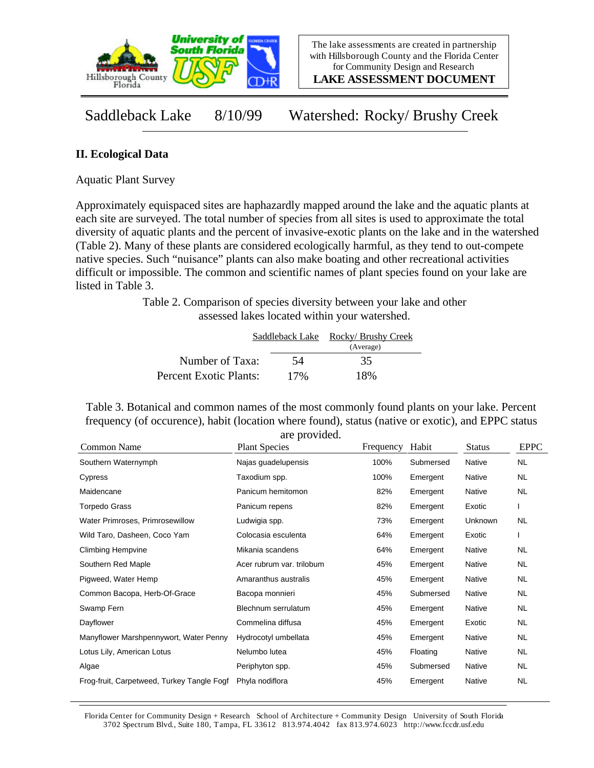

**LAKE ASSESSMENT DOCUMENT**

Saddleback Lake 8/10/99 Watershed: Rocky/ Brushy Creek

## **II. Ecological Data**

Aquatic Plant Survey

Approximately equispaced sites are haphazardly mapped around the lake and the aquatic plants at each site are surveyed. The total number of species from all sites is used to approximate the total diversity of aquatic plants and the percent of invasive-exotic plants on the lake and in the watershed (Table 2). Many of these plants are considered ecologically harmful, as they tend to out-compete native species. Such "nuisance" plants can also make boating and other recreational activities difficult or impossible. The common and scientific names of plant species found on your lake are listed in Table 3.

> Table 2. Comparison of species diversity between your lake and other assessed lakes located within your watershed.

|                        | Saddleback Lake | Rocky/ Brushy Creek<br>(Average) |
|------------------------|-----------------|----------------------------------|
| Number of Taxa:        | 54              | 35                               |
| Percent Exotic Plants: | 17%             | 18%                              |

Table 3. Botanical and common names of the most commonly found plants on your lake. Percent frequency (of occurence), habit (location where found), status (native or exotic), and EPPC status are provided.

| Common Name                                | <b>Plant Species</b>      | Frequency | Habit     | <b>Status</b> | <b>EPPC</b> |
|--------------------------------------------|---------------------------|-----------|-----------|---------------|-------------|
| Southern Waternymph                        | Najas guadelupensis       | 100%      | Submersed | <b>Native</b> | <b>NL</b>   |
| Cypress                                    | Taxodium spp.             | 100%      | Emergent  | Native        | NL.         |
| Maidencane                                 | Panicum hemitomon         | 82%       | Emergent  | Native        | NL.         |
| Torpedo Grass                              | Panicum repens            | 82%       | Emergent  | Exotic        |             |
| Water Primroses, Primrosewillow            | Ludwigia spp.             | 73%       | Emergent  | Unknown       | NL          |
| Wild Taro, Dasheen, Coco Yam               | Colocasia esculenta       | 64%       | Emergent  | Exotic        |             |
| <b>Climbing Hempvine</b>                   | Mikania scandens          | 64%       | Emergent  | Native        | NL          |
| Southern Red Maple                         | Acer rubrum var. trilobum | 45%       | Emergent  | Native        | NL.         |
| Pigweed, Water Hemp                        | Amaranthus australis      | 45%       | Emergent  | Native        | NL.         |
| Common Bacopa, Herb-Of-Grace               | Bacopa monnieri           | 45%       | Submersed | Native        | NL.         |
| Swamp Fern                                 | Blechnum serrulatum       | 45%       | Emergent  | Native        | NL          |
| Dayflower                                  | Commelina diffusa         | 45%       | Emergent  | Exotic        | NL.         |
| Manyflower Marshpennywort, Water Penny     | Hydrocotyl umbellata      | 45%       | Emergent  | Native        | NL.         |
| Lotus Lily, American Lotus                 | Nelumbo lutea             | 45%       | Floating  | Native        | NL.         |
| Algae                                      | Periphyton spp.           | 45%       | Submersed | Native        | NL.         |
| Frog-fruit, Carpetweed, Turkey Tangle Fogf | Phyla nodiflora           | 45%       | Emergent  | Native        | NL          |

Florida Center for Community Design + Research School of Architecture + Community Design University of South Florida 3702 Spectrum Blvd., Suite 180, Tampa, FL 33612 813.974.4042 fax 813.974.6023 http://www.fccdr.usf.edu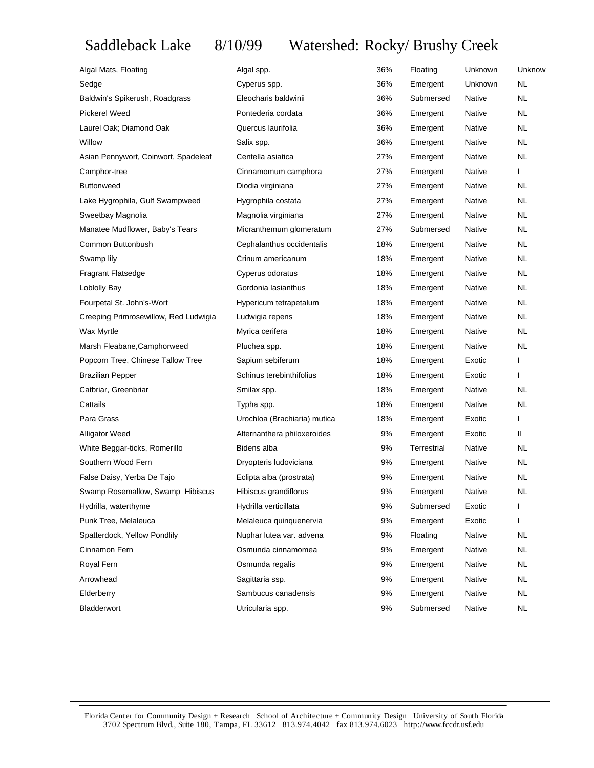## Saddleback Lake 8/10/99 Watershed: Rocky/ Brushy Creek

| Algal Mats, Floating                  | Algal spp.                   | 36% | Floating    | Unknown       | Unknow       |
|---------------------------------------|------------------------------|-----|-------------|---------------|--------------|
| Sedge                                 | Cyperus spp.                 | 36% | Emergent    | Unknown       | <b>NL</b>    |
| Baldwin's Spikerush, Roadgrass        | Eleocharis baldwinii         | 36% | Submersed   | Native        | <b>NL</b>    |
| <b>Pickerel Weed</b>                  | Pontederia cordata           | 36% | Emergent    | Native        | <b>NL</b>    |
| Laurel Oak; Diamond Oak               | Quercus laurifolia           | 36% | Emergent    | Native        | <b>NL</b>    |
| Willow                                | Salix spp.                   | 36% | Emergent    | Native        | <b>NL</b>    |
| Asian Pennywort, Coinwort, Spadeleaf  | Centella asiatica            | 27% | Emergent    | Native        | <b>NL</b>    |
| Camphor-tree                          | Cinnamomum camphora          | 27% | Emergent    | Native        | $\mathsf{I}$ |
| <b>Buttonweed</b>                     | Diodia virginiana            | 27% | Emergent    | Native        | <b>NL</b>    |
| Lake Hygrophila, Gulf Swampweed       | Hygrophila costata           | 27% | Emergent    | Native        | <b>NL</b>    |
| Sweetbay Magnolia                     | Magnolia virginiana          | 27% | Emergent    | Native        | <b>NL</b>    |
| Manatee Mudflower, Baby's Tears       | Micranthemum glomeratum      | 27% | Submersed   | Native        | <b>NL</b>    |
| Common Buttonbush                     | Cephalanthus occidentalis    | 18% | Emergent    | Native        | <b>NL</b>    |
| Swamp lily                            | Crinum americanum            | 18% | Emergent    | Native        | <b>NL</b>    |
| <b>Fragrant Flatsedge</b>             | Cyperus odoratus             | 18% | Emergent    | <b>Native</b> | <b>NL</b>    |
| Loblolly Bay                          | Gordonia lasianthus          | 18% | Emergent    | Native        | <b>NL</b>    |
| Fourpetal St. John's-Wort             | Hypericum tetrapetalum       | 18% | Emergent    | Native        | <b>NL</b>    |
| Creeping Primrosewillow, Red Ludwigia | Ludwigia repens              | 18% | Emergent    | Native        | <b>NL</b>    |
| Wax Myrtle                            | Myrica cerifera              | 18% | Emergent    | Native        | <b>NL</b>    |
| Marsh Fleabane, Camphorweed           | Pluchea spp.                 | 18% | Emergent    | Native        | <b>NL</b>    |
| Popcorn Tree, Chinese Tallow Tree     | Sapium sebiferum             | 18% | Emergent    | Exotic        | $\mathbf{I}$ |
| <b>Brazilian Pepper</b>               | Schinus terebinthifolius     | 18% | Emergent    | Exotic        | $\mathbf{I}$ |
| Catbriar, Greenbriar                  | Smilax spp.                  | 18% | Emergent    | Native        | <b>NL</b>    |
| Cattails                              | Typha spp.                   | 18% | Emergent    | Native        | NL.          |
| Para Grass                            | Urochloa (Brachiaria) mutica | 18% | Emergent    | Exotic        | $\mathsf{I}$ |
| <b>Alligator Weed</b>                 | Alternanthera philoxeroides  | 9%  | Emergent    | Exotic        | Ш            |
| White Beggar-ticks, Romerillo         | Bidens alba                  | 9%  | Terrestrial | Native        | NL.          |
| Southern Wood Fern                    | Dryopteris ludoviciana       | 9%  | Emergent    | Native        | NL           |
| False Daisy, Yerba De Tajo            | Eclipta alba (prostrata)     | 9%  | Emergent    | Native        | NL.          |
| Swamp Rosemallow, Swamp Hibiscus      | Hibiscus grandiflorus        | 9%  | Emergent    | Native        | NL           |
| Hydrilla, waterthyme                  | Hydrilla verticillata        | 9%  | Submersed   | Exotic        | I.           |
| Punk Tree, Melaleuca                  | Melaleuca quinquenervia      | 9%  | Emergent    | Exotic        | ı            |
| Spatterdock, Yellow Pondlily          | Nuphar lutea var. advena     | 9%  | Floating    | Native        | <b>NL</b>    |
| Cinnamon Fern                         | Osmunda cinnamomea           | 9%  | Emergent    | Native        | <b>NL</b>    |
| Royal Fern                            | Osmunda regalis              | 9%  | Emergent    | Native        | <b>NL</b>    |
| Arrowhead                             | Sagittaria ssp.              | 9%  | Emergent    | Native        | <b>NL</b>    |
| Elderberry                            | Sambucus canadensis          | 9%  | Emergent    | Native        | <b>NL</b>    |
| Bladderwort                           | Utricularia spp.             | 9%  | Submersed   | Native        | <b>NL</b>    |